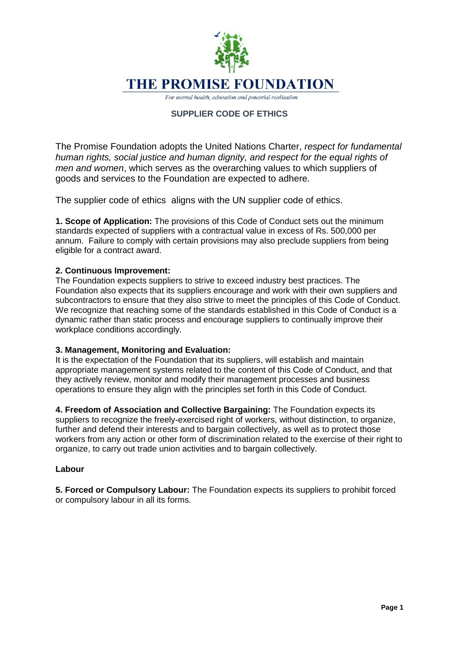

For mental health, education and potential realisation

# **SUPPLIER CODE OF ETHICS**

The Promise Foundation adopts the United Nations Charter, *respect for fundamental human rights, social justice and human dignity, and respect for the equal rights of men and women*, which serves as the overarching values to which suppliers of goods and services to the Foundation are expected to adhere.

The supplier code of ethics aligns with the UN supplier code of ethics.

**1. Scope of Application:** The provisions of this Code of Conduct sets out the minimum standards expected of suppliers with a contractual value in excess of Rs. 500,000 per annum. Failure to comply with certain provisions may also preclude suppliers from being eligible for a contract award.

### **2. Continuous Improvement:**

The Foundation expects suppliers to strive to exceed industry best practices. The Foundation also expects that its suppliers encourage and work with their own suppliers and subcontractors to ensure that they also strive to meet the principles of this Code of Conduct. We recognize that reaching some of the standards established in this Code of Conduct is a dynamic rather than static process and encourage suppliers to continually improve their workplace conditions accordingly.

#### **3. Management, Monitoring and Evaluation:**

It is the expectation of the Foundation that its suppliers, will establish and maintain appropriate management systems related to the content of this Code of Conduct, and that they actively review, monitor and modify their management processes and business operations to ensure they align with the principles set forth in this Code of Conduct.

**4. Freedom of Association and Collective Bargaining:** The Foundation expects its suppliers to recognize the freely-exercised right of workers, without distinction, to organize, further and defend their interests and to bargain collectively, as well as to protect those workers from any action or other form of discrimination related to the exercise of their right to organize, to carry out trade union activities and to bargain collectively.

#### **Labour**

**5. Forced or Compulsory Labour:** The Foundation expects its suppliers to prohibit forced or compulsory labour in all its forms.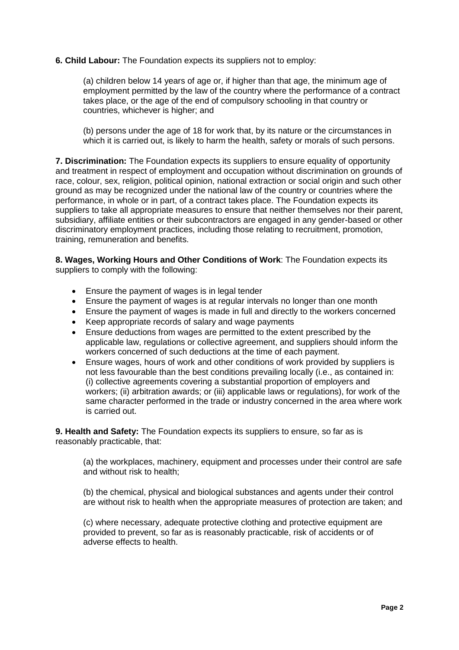### **6. Child Labour:** The Foundation expects its suppliers not to employ:

(a) children below 14 years of age or, if higher than that age, the minimum age of employment permitted by the law of the country where the performance of a contract takes place, or the age of the end of compulsory schooling in that country or countries, whichever is higher; and

(b) persons under the age of 18 for work that, by its nature or the circumstances in which it is carried out, is likely to harm the health, safety or morals of such persons.

**7. Discrimination:** The Foundation expects its suppliers to ensure equality of opportunity and treatment in respect of employment and occupation without discrimination on grounds of race, colour, sex, religion, political opinion, national extraction or social origin and such other ground as may be recognized under the national law of the country or countries where the performance, in whole or in part, of a contract takes place. The Foundation expects its suppliers to take all appropriate measures to ensure that neither themselves nor their parent, subsidiary, affiliate entities or their subcontractors are engaged in any gender-based or other discriminatory employment practices, including those relating to recruitment, promotion, training, remuneration and benefits.

**8. Wages, Working Hours and Other Conditions of Work**: The Foundation expects its suppliers to comply with the following:

- Ensure the payment of wages is in legal tender
- Ensure the payment of wages is at regular intervals no longer than one month
- Ensure the payment of wages is made in full and directly to the workers concerned
- Keep appropriate records of salary and wage payments
- Ensure deductions from wages are permitted to the extent prescribed by the applicable law, regulations or collective agreement, and suppliers should inform the workers concerned of such deductions at the time of each payment.
- Ensure wages, hours of work and other conditions of work provided by suppliers is not less favourable than the best conditions prevailing locally (i.e., as contained in: (i) collective agreements covering a substantial proportion of employers and workers; (ii) arbitration awards; or (iii) applicable laws or regulations), for work of the same character performed in the trade or industry concerned in the area where work is carried out.

**9. Health and Safety:** The Foundation expects its suppliers to ensure, so far as is reasonably practicable, that:

(a) the workplaces, machinery, equipment and processes under their control are safe and without risk to health;

(b) the chemical, physical and biological substances and agents under their control are without risk to health when the appropriate measures of protection are taken; and

(c) where necessary, adequate protective clothing and protective equipment are provided to prevent, so far as is reasonably practicable, risk of accidents or of adverse effects to health.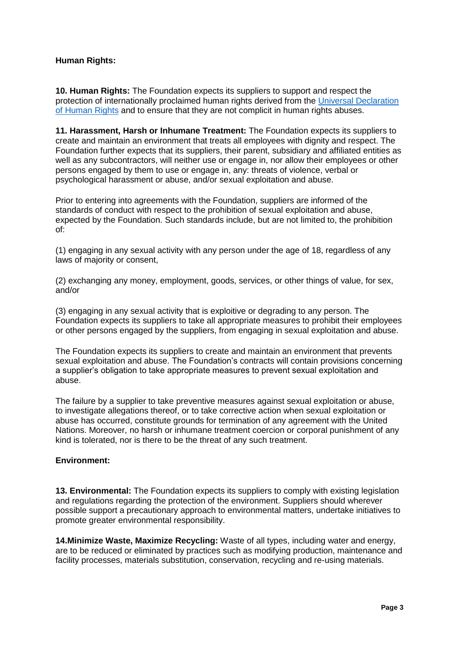# **Human Rights:**

**10. Human Rights:** The Foundation expects its suppliers to support and respect the protection of internationally proclaimed human rights derived from the [Universal Declaration](https://www.un.org/en/about-us/universal-declaration-of-human-rights)  [of Human Rights](https://www.un.org/en/about-us/universal-declaration-of-human-rights) and to ensure that they are not complicit in human rights abuses.

**11. Harassment, Harsh or Inhumane Treatment:** The Foundation expects its suppliers to create and maintain an environment that treats all employees with dignity and respect. The Foundation further expects that its suppliers, their parent, subsidiary and affiliated entities as well as any subcontractors, will neither use or engage in, nor allow their employees or other persons engaged by them to use or engage in, any: threats of violence, verbal or psychological harassment or abuse, and/or sexual exploitation and abuse.

Prior to entering into agreements with the Foundation, suppliers are informed of the standards of conduct with respect to the prohibition of sexual exploitation and abuse, expected by the Foundation. Such standards include, but are not limited to, the prohibition of:

(1) engaging in any sexual activity with any person under the age of 18, regardless of any laws of majority or consent,

(2) exchanging any money, employment, goods, services, or other things of value, for sex, and/or

(3) engaging in any sexual activity that is exploitive or degrading to any person. The Foundation expects its suppliers to take all appropriate measures to prohibit their employees or other persons engaged by the suppliers, from engaging in sexual exploitation and abuse.

The Foundation expects its suppliers to create and maintain an environment that prevents sexual exploitation and abuse. The Foundation's contracts will contain provisions concerning a supplier's obligation to take appropriate measures to prevent sexual exploitation and abuse.

The failure by a supplier to take preventive measures against sexual exploitation or abuse, to investigate allegations thereof, or to take corrective action when sexual exploitation or abuse has occurred, constitute grounds for termination of any agreement with the United Nations. Moreover, no harsh or inhumane treatment coercion or corporal punishment of any kind is tolerated, nor is there to be the threat of any such treatment.

## **Environment:**

**13. Environmental:** The Foundation expects its suppliers to comply with existing legislation and regulations regarding the protection of the environment. Suppliers should wherever possible support a precautionary approach to environmental matters, undertake initiatives to promote greater environmental responsibility.

**14.Minimize Waste, Maximize Recycling:** Waste of all types, including water and energy, are to be reduced or eliminated by practices such as modifying production, maintenance and facility processes, materials substitution, conservation, recycling and re-using materials.